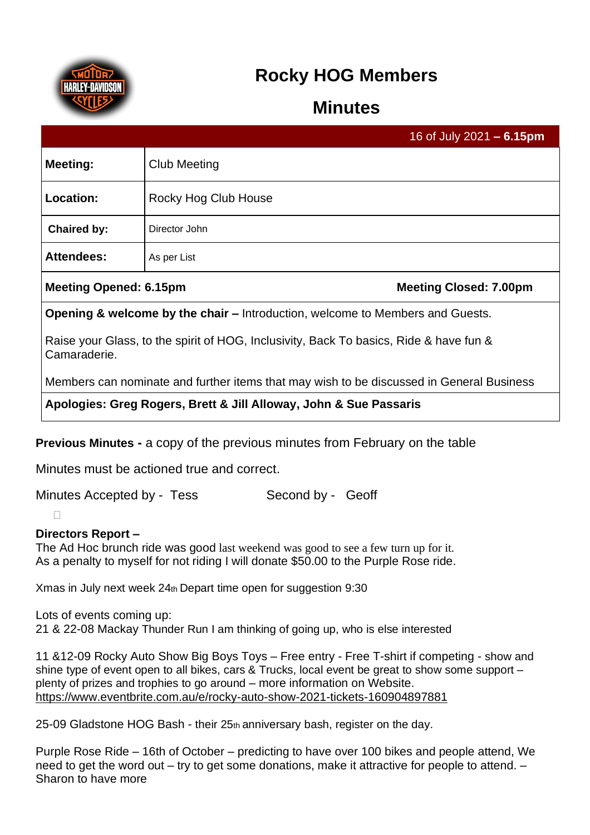

# **Rocky HOG Members**

## **Minutes**

|                                                                                                        |                      | 16 of July 2021 $- 6.15$ pm   |
|--------------------------------------------------------------------------------------------------------|----------------------|-------------------------------|
| Meeting:                                                                                               | <b>Club Meeting</b>  |                               |
| Location:                                                                                              | Rocky Hog Club House |                               |
| <b>Chaired by:</b>                                                                                     | Director John        |                               |
| <b>Attendees:</b>                                                                                      | As per List          |                               |
| <b>Meeting Opened: 6.15pm</b>                                                                          |                      | <b>Meeting Closed: 7.00pm</b> |
| <b>Opening &amp; welcome by the chair – Introduction, welcome to Members and Guests.</b>               |                      |                               |
| Raise your Glass, to the spirit of HOG, Inclusivity, Back To basics, Ride & have fun &<br>Camaraderie. |                      |                               |
| Members can nominate and further items that may wish to be discussed in General Business               |                      |                               |
| Apologies: Greg Rogers, Brett & Jill Alloway, John & Sue Passaris                                      |                      |                               |

**Previous Minutes -** a copy of the previous minutes from February on the table

Minutes must be actioned true and correct.

Minutes Accepted by - Tess Second by - Geoff

 $\Box$ 

## **Directors Report –**

The Ad Hoc brunch ride was good last weekend was good to see a few turn up for it. As a penalty to myself for not riding I will donate \$50.00 to the Purple Rose ride.

Xmas in July next week 24th Depart time open for suggestion 9:30

Lots of events coming up: 21 & 22-08 Mackay Thunder Run I am thinking of going up, who is else interested

11 &12-09 Rocky Auto Show Big Boys Toys – Free entry - Free T-shirt if competing - show and shine type of event open to all bikes, cars & Trucks, local event be great to show some support – plenty of prizes and trophies to go around – more information on Website. <https://www.eventbrite.com.au/e/rocky-auto-show-2021-tickets-160904897881>

25-09 Gladstone HOG Bash - their 25th anniversary bash, register on the day.

Purple Rose Ride – 16th of October – predicting to have over 100 bikes and people attend, We need to get the word out – try to get some donations, make it attractive for people to attend. – Sharon to have more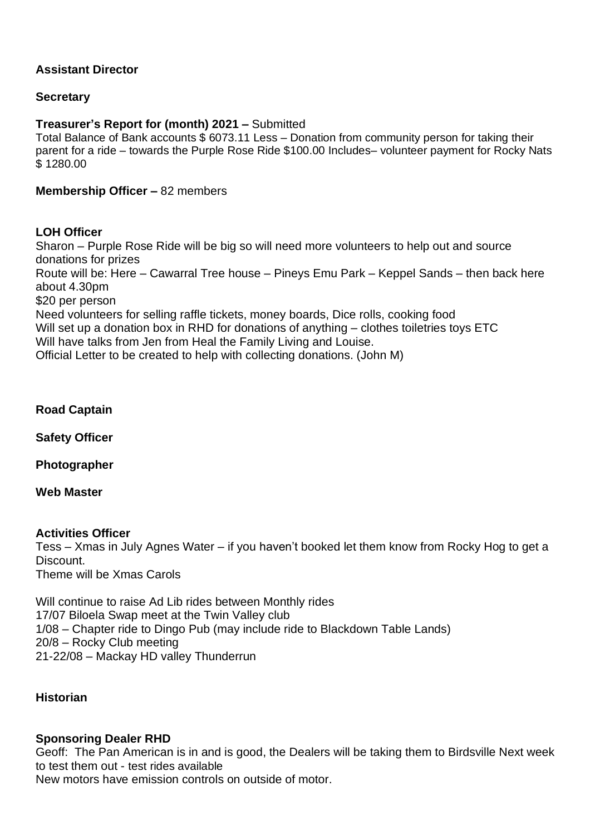## **Assistant Director**

## **Secretary**

## **Treasurer's Report for (month) 2021 –** Submitted

Total Balance of Bank accounts \$ 6073.11 Less – Donation from community person for taking their parent for a ride – towards the Purple Rose Ride \$100.00 Includes– volunteer payment for Rocky Nats \$ 1280.00

## **Membership Officer –** 82 members

## **LOH Officer**

Sharon – Purple Rose Ride will be big so will need more volunteers to help out and source donations for prizes

Route will be: Here – Cawarral Tree house – Pineys Emu Park – Keppel Sands – then back here about 4.30pm

\$20 per person

Need volunteers for selling raffle tickets, money boards, Dice rolls, cooking food Will set up a donation box in RHD for donations of anything – clothes toiletries toys ETC Will have talks from Jen from Heal the Family Living and Louise. Official Letter to be created to help with collecting donations. (John M)

**Road Captain**

**Safety Officer**

**Photographer**

#### **Web Master**

## **Activities Officer**

Tess – Xmas in July Agnes Water – if you haven't booked let them know from Rocky Hog to get a **Discount** Theme will be Xmas Carols

Will continue to raise Ad Lib rides between Monthly rides 17/07 Biloela Swap meet at the Twin Valley club 1/08 – Chapter ride to Dingo Pub (may include ride to Blackdown Table Lands) 20/8 – Rocky Club meeting 21-22/08 – Mackay HD valley Thunderrun

## **Historian**

## **Sponsoring Dealer RHD**

Geoff: The Pan American is in and is good, the Dealers will be taking them to Birdsville Next week to test them out - test rides available New motors have emission controls on outside of motor.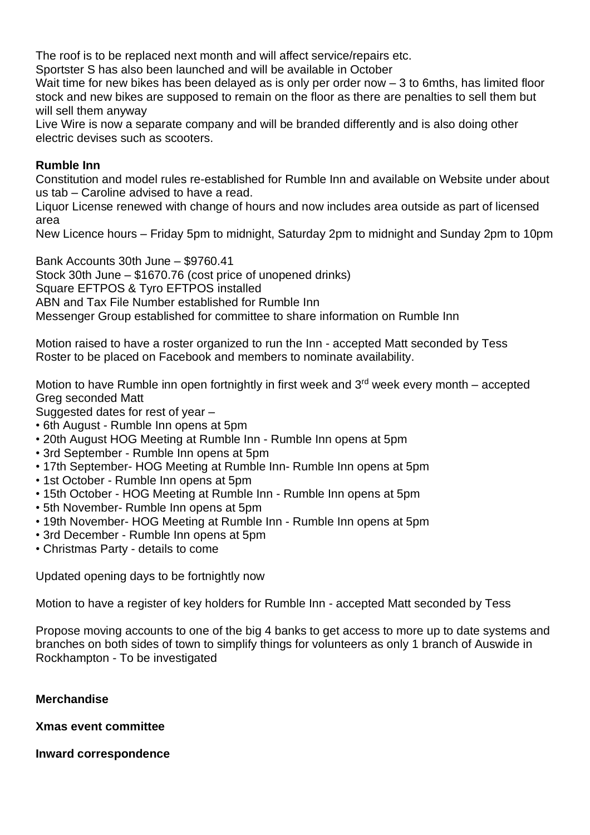The roof is to be replaced next month and will affect service/repairs etc.

Sportster S has also been launched and will be available in October

Wait time for new bikes has been delayed as is only per order now – 3 to 6mths, has limited floor stock and new bikes are supposed to remain on the floor as there are penalties to sell them but will sell them anyway

Live Wire is now a separate company and will be branded differently and is also doing other electric devises such as scooters.

## **Rumble Inn**

Constitution and model rules re-established for Rumble Inn and available on Website under about us tab – Caroline advised to have a read.

Liquor License renewed with change of hours and now includes area outside as part of licensed area

New Licence hours – Friday 5pm to midnight, Saturday 2pm to midnight and Sunday 2pm to 10pm

Bank Accounts 30th June – \$9760.41 Stock 30th June – \$1670.76 (cost price of unopened drinks) Square EFTPOS & Tyro EFTPOS installed ABN and Tax File Number established for Rumble Inn Messenger Group established for committee to share information on Rumble Inn

Motion raised to have a roster organized to run the Inn - accepted Matt seconded by Tess Roster to be placed on Facebook and members to nominate availability.

Motion to have Rumble inn open fortnightly in first week and 3<sup>rd</sup> week every month – accepted Greg seconded Matt

Suggested dates for rest of year -

- 6th August Rumble Inn opens at 5pm
- 20th August HOG Meeting at Rumble Inn Rumble Inn opens at 5pm
- 3rd September Rumble Inn opens at 5pm
- 17th September- HOG Meeting at Rumble Inn- Rumble Inn opens at 5pm
- 1st October Rumble Inn opens at 5pm
- 15th October HOG Meeting at Rumble Inn Rumble Inn opens at 5pm
- 5th November- Rumble Inn opens at 5pm
- 19th November- HOG Meeting at Rumble Inn Rumble Inn opens at 5pm
- 3rd December Rumble Inn opens at 5pm
- Christmas Party details to come

Updated opening days to be fortnightly now

Motion to have a register of key holders for Rumble Inn - accepted Matt seconded by Tess

Propose moving accounts to one of the big 4 banks to get access to more up to date systems and branches on both sides of town to simplify things for volunteers as only 1 branch of Auswide in Rockhampton - To be investigated

## **Merchandise**

**Xmas event committee**

**Inward correspondence**